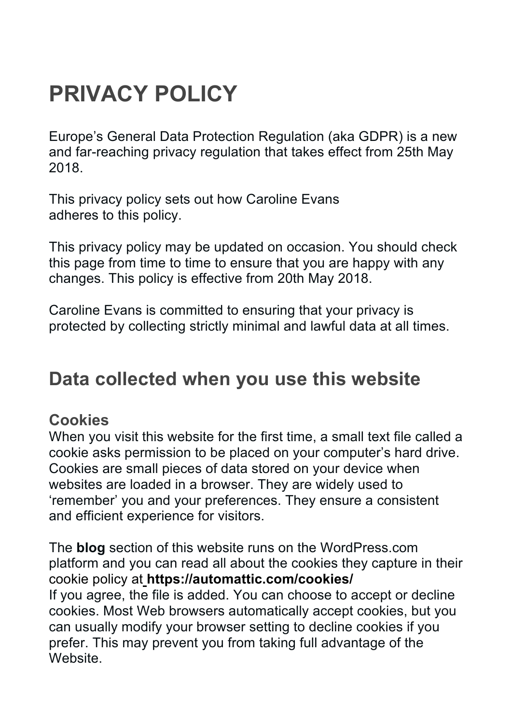# **PRIVACY POLICY**

Europe's General Data Protection Regulation (aka GDPR) is a new and far-reaching privacy regulation that takes effect from 25th May 2018.

This privacy policy sets out how Caroline Evans adheres to this policy.

This privacy policy may be updated on occasion. You should check this page from time to time to ensure that you are happy with any changes. This policy is effective from 20th May 2018.

Caroline Evans is committed to ensuring that your privacy is protected by collecting strictly minimal and lawful data at all times.

## **Data collected when you use this website**

#### **Cookies**

When you visit this website for the first time, a small text file called a cookie asks permission to be placed on your computer's hard drive. Cookies are small pieces of data stored on your device when websites are loaded in a browser. They are widely used to 'remember' you and your preferences. They ensure a consistent and efficient experience for visitors.

The **blog** section of this website runs on the WordPress.com platform and you can read all about the cookies they capture in their cookie policy at **https://automattic.com/cookies/** If you agree, the file is added. You can choose to accept or decline cookies. Most Web browsers automatically accept cookies, but you can usually modify your browser setting to decline cookies if you prefer. This may prevent you from taking full advantage of the **Website**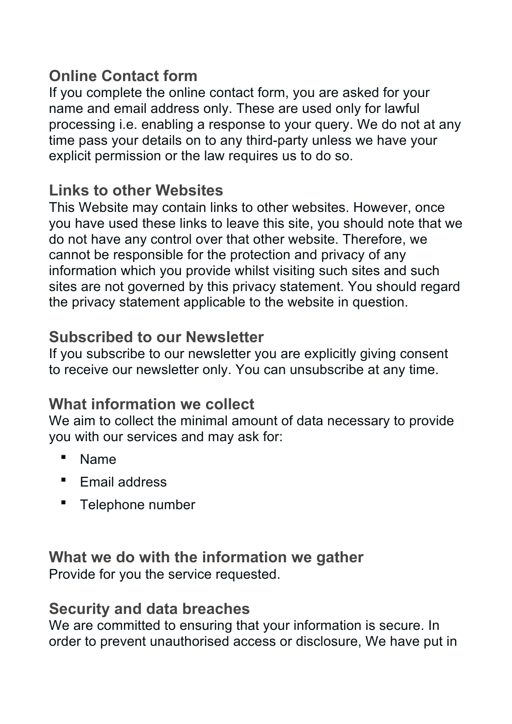#### **Online Contact form**

If you complete the online contact form, you are asked for your name and email address only. These are used only for lawful processing i.e. enabling a response to your query. We do not at any time pass your details on to any third-party unless we have your explicit permission or the law requires us to do so.

#### **Links to other Websites**

This Website may contain links to other websites. However, once you have used these links to leave this site, you should note that we do not have any control over that other website. Therefore, we cannot be responsible for the protection and privacy of any information which you provide whilst visiting such sites and such sites are not governed by this privacy statement. You should regard the privacy statement applicable to the website in question.

#### **Subscribed to our Newsletter**

If you subscribe to our newsletter you are explicitly giving consent to receive our newsletter only. You can unsubscribe at any time.

### **What information we collect**

We aim to collect the minimal amount of data necessary to provide you with our services and may ask for:

- Name
- Email address
- **•** Telephone number

#### **What we do with the information we gather** Provide for you the service requested.

#### **Security and data breaches**

We are committed to ensuring that your information is secure. In order to prevent unauthorised access or disclosure, We have put in